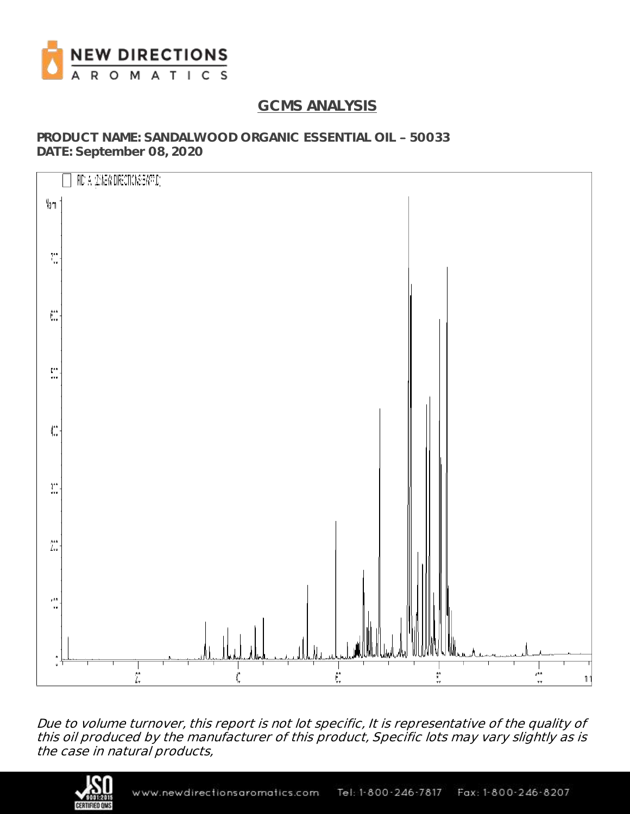

# **GCMS ANALYSIS**

**PRODUCT NAME: SANDALWOOD ORGANIC ESSENTIAL OIL 50033 DATE: September 08, 2020**



Due to volume turnover, this report is not lot specific, It is representative of the quality of this oil produced by the manufacturer of this product, Specific lots may vary slightly as is the case in natural products,

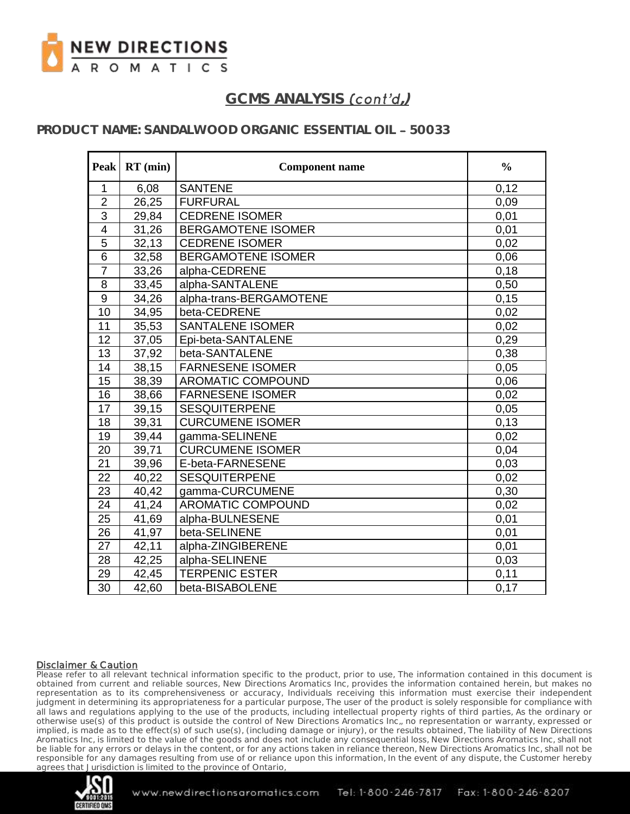

### **PRODUCT NAME: SANDALWOOD ORGANIC ESSENTIAL OIL 50033**

| Peak           | $RT$ (min) | <b>Component name</b>     | $\frac{0}{0}$ |
|----------------|------------|---------------------------|---------------|
| $\mathbf{1}$   | 6,08       | <b>SANTENE</b>            | 0,12          |
| $\overline{2}$ | 26,25      | <b>FURFURAL</b>           | 0,09          |
| $\overline{3}$ | 29,84      | <b>CEDRENE ISOMER</b>     | 0,01          |
| $\overline{4}$ | 31,26      | <b>BERGAMOTENE ISOMER</b> | 0,01          |
| 5              | 32,13      | <b>CEDRENE ISOMER</b>     | 0,02          |
| $\overline{6}$ | 32,58      | <b>BERGAMOTENE ISOMER</b> | 0,06          |
| $\overline{7}$ | 33,26      | alpha-CEDRENE             | 0,18          |
| $\bf 8$        | 33,45      | alpha-SANTALENE           | 0,50          |
| $\overline{9}$ | 34,26      | alpha-trans-BERGAMOTENE   | 0,15          |
| 10             | 34,95      | beta-CEDRENE              | 0,02          |
| 11             | 35,53      | <b>SANTALENE ISOMER</b>   | 0,02          |
| 12             | 37,05      | Epi-beta-SANTALENE        | 0,29          |
| 13             | 37,92      | beta-SANTALENE            | 0,38          |
| 14             | 38,15      | <b>FARNESENE ISOMER</b>   | 0,05          |
| 15             | 38,39      | AROMATIC COMPOUND         | 0,06          |
| 16             | 38,66      | <b>FARNESENE ISOMER</b>   | 0,02          |
| 17             | 39,15      | <b>SESQUITERPENE</b>      | 0,05          |
| 18             | 39,31      | <b>CURCUMENE ISOMER</b>   | 0,13          |
| 19             | 39,44      | gamma-SELINENE            | 0,02          |
| 20             | 39,71      | <b>CURCUMENE ISOMER</b>   | 0,04          |
| 21             | 39,96      | E-beta-FARNESENE          | 0,03          |
| 22             | 40,22      | <b>SESQUITERPENE</b>      | 0,02          |
| 23             | 40,42      | gamma-CURCUMENE           | 0,30          |
| 24             | 41,24      | AROMATIC COMPOUND         | 0,02          |
| 25             | 41,69      | alpha-BULNESENE           | 0,01          |
| 26             | 41,97      | beta-SELINENE             | 0,01          |
| 27             | 42,11      | alpha-ZINGIBERENE         | 0,01          |
| 28             | 42,25      | alpha-SELINENE            | 0,03          |
| 29             | 42,45      | <b>TERPENIC ESTER</b>     | 0,11          |
| 30             | 42,60      | beta-BISABOLENE           | 0,17          |

#### Disclaimer & Caution

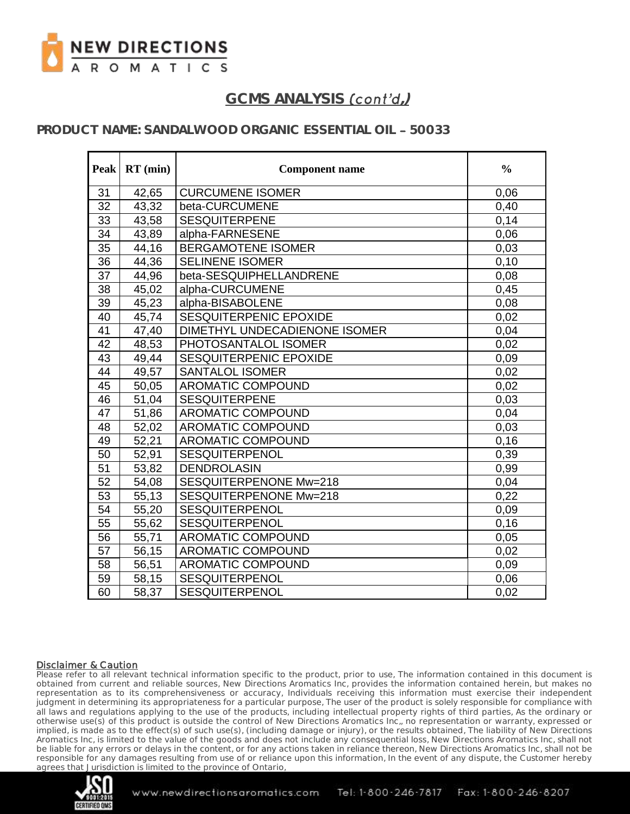

### **PRODUCT NAME: SANDALWOOD ORGANIC ESSENTIAL OIL 50033**

| <b>Peak</b>     | $RT$ (min) | <b>Component name</b>         | $\frac{0}{0}$ |
|-----------------|------------|-------------------------------|---------------|
| 31              | 42,65      | <b>CURCUMENE ISOMER</b>       | 0,06          |
| $\overline{32}$ | 43,32      | beta-CURCUMENE                | 0,40          |
| 33              | 43,58      | <b>SESQUITERPENE</b>          | 0,14          |
| 34              | 43,89      | alpha-FARNESENE               | 0,06          |
| 35              | 44,16      | <b>BERGAMOTENE ISOMER</b>     | 0,03          |
| 36              | 44,36      | <b>SELINENE ISOMER</b>        | 0,10          |
| 37              | 44,96      | beta-SESQUIPHELLANDRENE       | 0,08          |
| 38              | 45,02      | alpha-CURCUMENE               | 0,45          |
| 39              | 45,23      | alpha-BISABOLENE              | 0,08          |
| 40              | 45,74      | SESQUITERPENIC EPOXIDE        | 0,02          |
| 41              | 47,40      | DIMETHYL UNDECADIENONE ISOMER | 0,04          |
| 42              | 48,53      | PHOTOSANTALOL ISOMER          | 0.02          |
| 43              | 49,44      | SESQUITERPENIC EPOXIDE        | 0,09          |
| 44              | 49,57      | <b>SANTALOL ISOMER</b>        | 0,02          |
| 45              | 50,05      | <b>AROMATIC COMPOUND</b>      | 0,02          |
| 46              | 51,04      | <b>SESQUITERPENE</b>          | 0,03          |
| 47              | 51,86      | AROMATIC COMPOUND             | 0,04          |
| 48              | 52,02      | <b>AROMATIC COMPOUND</b>      | 0,03          |
| 49              | 52,21      | <b>AROMATIC COMPOUND</b>      | 0,16          |
| 50              | 52,91      | <b>SESQUITERPENOL</b>         | 0,39          |
| 51              | 53,82      | <b>DENDROLASIN</b>            | 0,99          |
| 52              | 54,08      | SESQUITERPENONE Mw=218        | 0,04          |
| 53              | 55,13      | SESQUITERPENONE Mw=218        | 0,22          |
| 54              | 55,20      | <b>SESQUITERPENOL</b>         | 0,09          |
| 55              | 55,62      | <b>SESQUITERPENOL</b>         | 0,16          |
| 56              | 55,71      | <b>AROMATIC COMPOUND</b>      | 0,05          |
| 57              | 56,15      | <b>AROMATIC COMPOUND</b>      | 0,02          |
| 58              | 56,51      | <b>AROMATIC COMPOUND</b>      | 0,09          |
| 59              | 58,15      | SESQUITERPENOL                | 0,06          |
| 60              | 58,37      | <b>SESQUITERPENOL</b>         | 0,02          |

#### Disclaimer & Caution

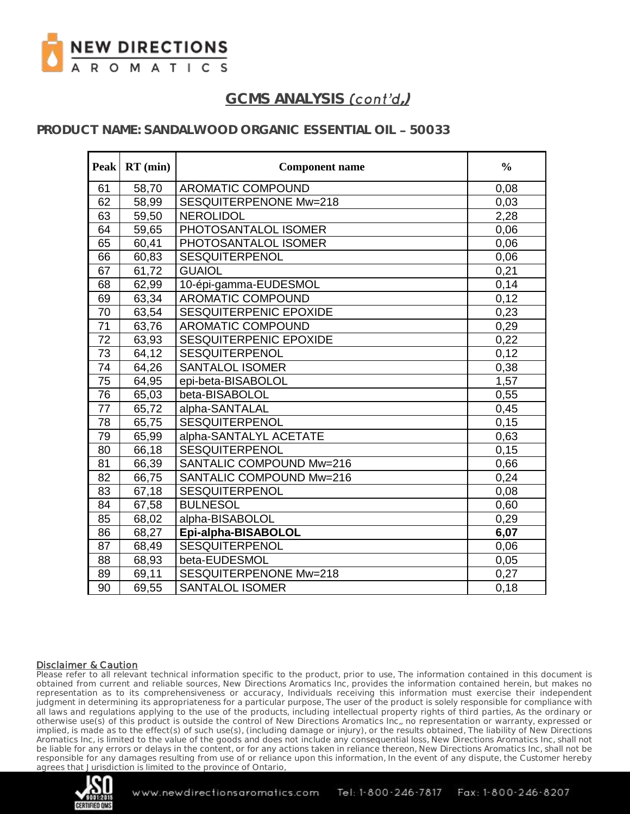

### **PRODUCT NAME: SANDALWOOD ORGANIC ESSENTIAL OIL 50033**

| <b>Peak</b>     | $RT$ (min) | <b>Component name</b>    | $\frac{0}{0}$ |
|-----------------|------------|--------------------------|---------------|
| 61              | 58,70      | AROMATIC COMPOUND        | 0,08          |
| 62              | 58,99      | SESQUITERPENONE Mw=218   | 0,03          |
| 63              | 59,50      | <b>NEROLIDOL</b>         | 2,28          |
| 64              | 59,65      | PHOTOSANTALOL ISOMER     | 0,06          |
| 65              | 60,41      | PHOTOSANTALOL ISOMER     | 0,06          |
| 66              | 60,83      | SESQUITERPENOL           | 0,06          |
| 67              | 61,72      | <b>GUAIOL</b>            | 0,21          |
| 68              | 62,99      | 10-épi-gamma-EUDESMOL    | 0,14          |
| 69              | 63,34      | <b>AROMATIC COMPOUND</b> | 0,12          |
| 70              | 63,54      | SESQUITERPENIC EPOXIDE   | 0,23          |
| 71              | 63,76      | AROMATIC COMPOUND        | 0,29          |
| 72              | 63,93      | SESQUITERPENIC EPOXIDE   | 0,22          |
| 73              | 64,12      | <b>SESQUITERPENOL</b>    | 0,12          |
| 74              | 64,26      | <b>SANTALOL ISOMER</b>   | 0,38          |
| $\overline{75}$ | 64,95      | epi-beta-BISABOLOL       | 1,57          |
| 76              | 65,03      | beta-BISABOLOL           | 0,55          |
| 77              | 65,72      | alpha-SANTALAL           | 0,45          |
| 78              | 65,75      | SESQUITERPENOL           | 0,15          |
| 79              | 65,99      | alpha-SANTALYL ACETATE   | 0,63          |
| 80              | 66,18      | <b>SESQUITERPENOL</b>    | 0,15          |
| 81              | 66,39      | SANTALIC COMPOUND Mw=216 | 0,66          |
| 82              | 66,75      | SANTALIC COMPOUND Mw=216 | 0,24          |
| 83              | 67,18      | <b>SESQUITERPENOL</b>    | 0,08          |
| 84              | 67,58      | <b>BULNESOL</b>          | 0,60          |
| 85              | 68,02      | alpha-BISABOLOL          | 0,29          |
| 86              | 68,27      | Epi-alpha-BISABOLOL      | 6,07          |
| 87              | 68,49      | <b>SESQUITERPENOL</b>    | 0,06          |
| 88              | 68,93      | beta-EUDESMOL            | 0,05          |
| 89              | 69,11      | SESQUITERPENONE Mw=218   | 0,27          |
| 90              | 69,55      | <b>SANTALOL ISOMER</b>   | 0,18          |

#### Disclaimer & Caution

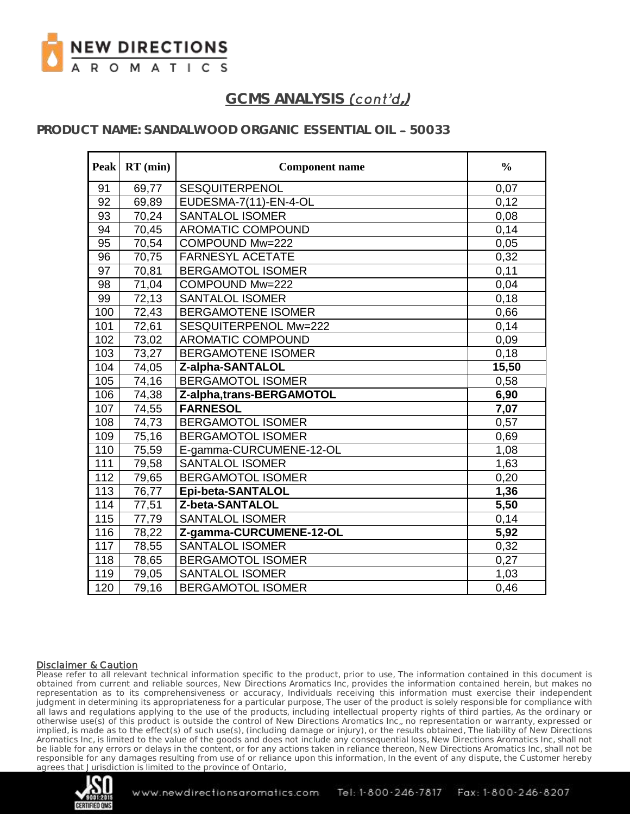

### **PRODUCT NAME: SANDALWOOD ORGANIC ESSENTIAL OIL 50033**

| Peak             | $RT$ (min)         | <b>Component name</b>     | $\frac{0}{0}$ |
|------------------|--------------------|---------------------------|---------------|
| 91               | 69,77              | <b>SESQUITERPENOL</b>     | 0,07          |
| 92               | 69,89              | EUDESMA-7(11)-EN-4-OL     | 0,12          |
| 93               | 70,24              | <b>SANTALOL ISOMER</b>    | 0,08          |
| 94               | 70,45              | <b>AROMATIC COMPOUND</b>  | 0,14          |
| 95               | 70,54              | COMPOUND Mw=222           | 0,05          |
| 96               | 70,75              | <b>FARNESYL ACETATE</b>   | 0,32          |
| 97               | 70,81              | <b>BERGAMOTOL ISOMER</b>  | 0,11          |
| 98               | 71,04              | COMPOUND Mw=222           | 0,04          |
| 99               | $\overline{72,}13$ | <b>SANTALOL ISOMER</b>    | 0,18          |
| 100              | 72,43              | <b>BERGAMOTENE ISOMER</b> | 0,66          |
| 101              | 72,61              | SESQUITERPENOL Mw=222     | 0,14          |
| 102              | 73,02              | AROMATIC COMPOUND         | 0,09          |
| 103              | 73,27              | <b>BERGAMOTENE ISOMER</b> | 0,18          |
| 104              | 74,05              | Z-alpha-SANTALOL          | 15,50         |
| 105              | 74,16              | <b>BERGAMOTOL ISOMER</b>  | 0,58          |
| 106              | 74,38              | Z-alpha,trans-BERGAMOTOL  | 6,90          |
| 107              | 74,55              | <b>FARNESOL</b>           | 7,07          |
| 108              | 74,73              | <b>BERGAMOTOL ISOMER</b>  | 0,57          |
| 109              | 75,16              | <b>BERGAMOTOL ISOMER</b>  | 0,69          |
| 110              | 75,59              | E-gamma-CURCUMENE-12-OL   | 1,08          |
| 111              | 79,58              | <b>SANTALOL ISOMER</b>    | 1,63          |
| $\overline{112}$ | 79,65              | <b>BERGAMOTOL ISOMER</b>  | 0,20          |
| 113              | 76,77              | Epi-beta-SANTALOL         | 1,36          |
| 114              | 77,51              | Z-beta-SANTALOL           | 5,50          |
| $\overline{115}$ | 77,79              | <b>SANTALOL ISOMER</b>    | 0,14          |
| 116              | 78,22              | Z-gamma-CURCUMENE-12-OL   | 5,92          |
| 117              | 78,55              | <b>SANTALOL ISOMER</b>    | 0,32          |
| 118              | 78,65              | <b>BERGAMOTOL ISOMER</b>  | 0,27          |
| 119              | 79,05              | <b>SANTALOL ISOMER</b>    | 1,03          |
| 120              | 79,16              | <b>BERGAMOTOL ISOMER</b>  | 0,46          |

#### Disclaimer & Caution